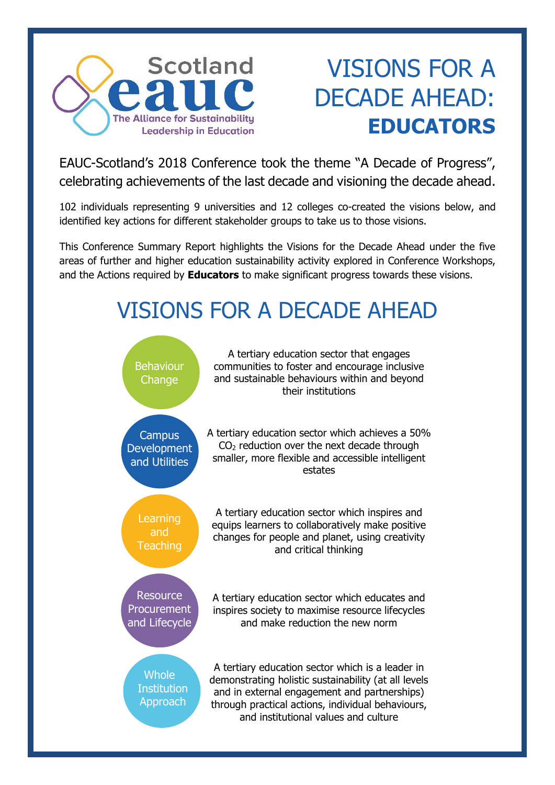

# VISIONS FOR A DECADE AHEAD: **EDUCATORS**

EAUC-Scotland's 2018 Conference took the theme "A Decade of Progress", celebrating achievements of the last decade and visioning the decade ahead.

102 individuals representing 9 universities and 12 colleges co-created the visions below, and identified key actions for different stakeholder groups to take us to those visions.

This Conference Summary Report highlights the Visions for the Decade Ahead under the five areas of further and higher education sustainability activity explored in Conference Workshops, and the Actions required by **Educators** to make significant progress towards these visions.

## VISIONS FOR A DECADE AHEAD